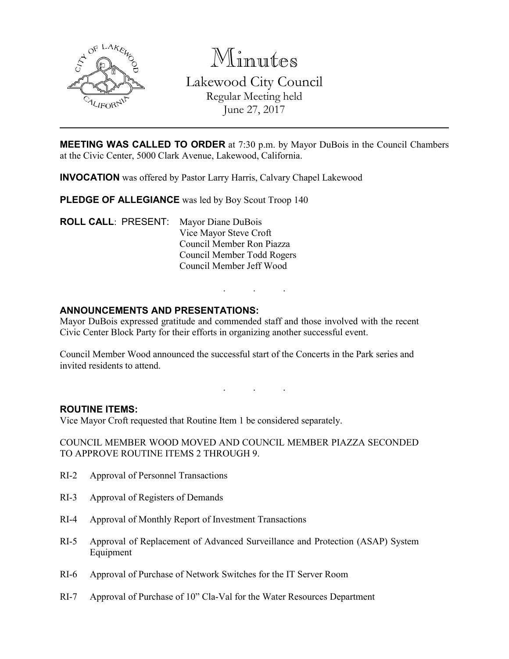

Minutes

Lakewood City Council Regular Meeting held June 27, 2017

**MEETING WAS CALLED TO ORDER** at 7:30 p.m. by Mayor DuBois in the Council Chambers at the Civic Center, 5000 Clark Avenue, Lakewood, California.

INVOCATION was offered by Pastor Larry Harris, Calvary Chapel Lakewood

PLEDGE OF ALLEGIANCE was led by Boy Scout Troop 140

ROLL CALL: PRESENT: Mayor Diane DuBois Vice Mayor Steve Croft Council Member Ron Piazza Council Member Todd Rogers Council Member Jeff Wood

# ANNOUNCEMENTS AND PRESENTATIONS:

Mayor DuBois expressed gratitude and commended staff and those involved with the recent Civic Center Block Party for their efforts in organizing another successful event.

Council Member Wood announced the successful start of the Concerts in the Park series and invited residents to attend.

. . .

. . .

### ROUTINE ITEMS:

Vice Mayor Croft requested that Routine Item 1 be considered separately.

COUNCIL MEMBER WOOD MOVED AND COUNCIL MEMBER PIAZZA SECONDED TO APPROVE ROUTINE ITEMS 2 THROUGH 9.

- RI-2 Approval of Personnel Transactions
- RI-3 Approval of Registers of Demands
- RI-4 Approval of Monthly Report of Investment Transactions
- RI-5 Approval of Replacement of Advanced Surveillance and Protection (ASAP) System Equipment
- RI-6 Approval of Purchase of Network Switches for the IT Server Room
- RI-7 Approval of Purchase of 10" Cla-Val for the Water Resources Department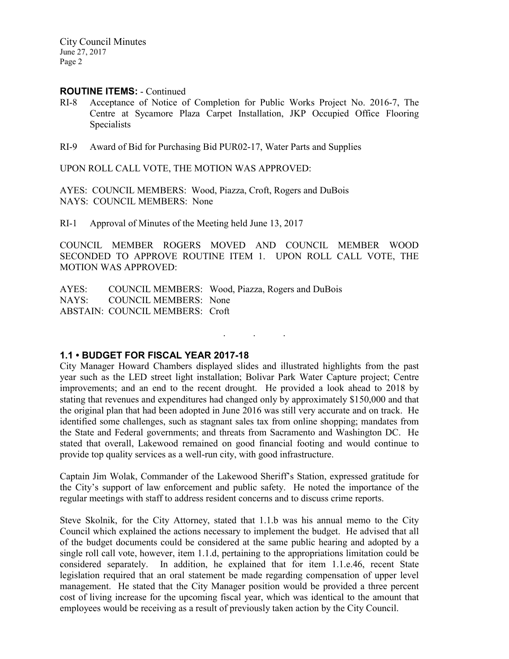### ROUTINE ITEMS: - Continued

- RI-8 Acceptance of Notice of Completion for Public Works Project No. 2016-7, The Centre at Sycamore Plaza Carpet Installation, JKP Occupied Office Flooring **Specialists**
- RI-9 Award of Bid for Purchasing Bid PUR02-17, Water Parts and Supplies

UPON ROLL CALL VOTE, THE MOTION WAS APPROVED:

AYES: COUNCIL MEMBERS: Wood, Piazza, Croft, Rogers and DuBois NAYS: COUNCIL MEMBERS: None

RI-1 Approval of Minutes of the Meeting held June 13, 2017

COUNCIL MEMBER ROGERS MOVED AND COUNCIL MEMBER WOOD SECONDED TO APPROVE ROUTINE ITEM 1. UPON ROLL CALL VOTE, THE MOTION WAS APPROVED:

AYES: COUNCIL MEMBERS: Wood, Piazza, Rogers and DuBois<br>NAYS: COUNCIL MEMBERS: None COUNCIL MEMBERS: None ABSTAIN: COUNCIL MEMBERS: Croft

# 1.1 • BUDGET FOR FISCAL YEAR 2017-18

City Manager Howard Chambers displayed slides and illustrated highlights from the past year such as the LED street light installation; Bolivar Park Water Capture project; Centre improvements; and an end to the recent drought. He provided a look ahead to 2018 by stating that revenues and expenditures had changed only by approximately \$150,000 and that the original plan that had been adopted in June 2016 was still very accurate and on track. He identified some challenges, such as stagnant sales tax from online shopping; mandates from the State and Federal governments; and threats from Sacramento and Washington DC. He stated that overall, Lakewood remained on good financial footing and would continue to provide top quality services as a well-run city, with good infrastructure.

. . .

Captain Jim Wolak, Commander of the Lakewood Sheriff's Station, expressed gratitude for the City's support of law enforcement and public safety. He noted the importance of the regular meetings with staff to address resident concerns and to discuss crime reports.

Steve Skolnik, for the City Attorney, stated that 1.1.b was his annual memo to the City Council which explained the actions necessary to implement the budget. He advised that all of the budget documents could be considered at the same public hearing and adopted by a single roll call vote, however, item 1.1.d, pertaining to the appropriations limitation could be considered separately. In addition, he explained that for item 1.1.e.46, recent State legislation required that an oral statement be made regarding compensation of upper level management. He stated that the City Manager position would be provided a three percent cost of living increase for the upcoming fiscal year, which was identical to the amount that employees would be receiving as a result of previously taken action by the City Council.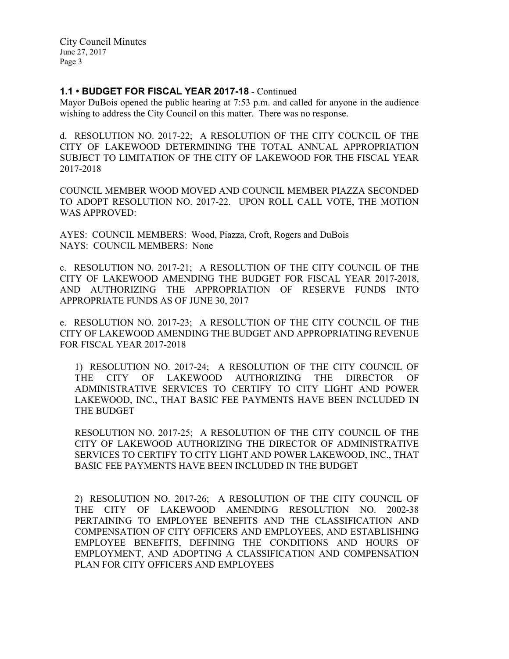# 1.1 • BUDGET FOR FISCAL YEAR 2017-18 - Continued

Mayor DuBois opened the public hearing at 7:53 p.m. and called for anyone in the audience wishing to address the City Council on this matter. There was no response.

d. RESOLUTION NO. 2017-22; A RESOLUTION OF THE CITY COUNCIL OF THE CITY OF LAKEWOOD DETERMINING THE TOTAL ANNUAL APPROPRIATION SUBJECT TO LIMITATION OF THE CITY OF LAKEWOOD FOR THE FISCAL YEAR 2017-2018

COUNCIL MEMBER WOOD MOVED AND COUNCIL MEMBER PIAZZA SECONDED TO ADOPT RESOLUTION NO. 2017-22. UPON ROLL CALL VOTE, THE MOTION WAS APPROVED:

AYES: COUNCIL MEMBERS: Wood, Piazza, Croft, Rogers and DuBois NAYS: COUNCIL MEMBERS: None

c. RESOLUTION NO. 2017-21; A RESOLUTION OF THE CITY COUNCIL OF THE CITY OF LAKEWOOD AMENDING THE BUDGET FOR FISCAL YEAR 2017-2018, AND AUTHORIZING THE APPROPRIATION OF RESERVE FUNDS INTO APPROPRIATE FUNDS AS OF JUNE 30, 2017

e. RESOLUTION NO. 2017-23; A RESOLUTION OF THE CITY COUNCIL OF THE CITY OF LAKEWOOD AMENDING THE BUDGET AND APPROPRIATING REVENUE FOR FISCAL YEAR 2017-2018

1) RESOLUTION NO. 2017-24; A RESOLUTION OF THE CITY COUNCIL OF THE CITY OF LAKEWOOD AUTHORIZING THE DIRECTOR OF ADMINISTRATIVE SERVICES TO CERTIFY TO CITY LIGHT AND POWER LAKEWOOD, INC., THAT BASIC FEE PAYMENTS HAVE BEEN INCLUDED IN THE BUDGET

RESOLUTION NO. 2017-25; A RESOLUTION OF THE CITY COUNCIL OF THE CITY OF LAKEWOOD AUTHORIZING THE DIRECTOR OF ADMINISTRATIVE SERVICES TO CERTIFY TO CITY LIGHT AND POWER LAKEWOOD, INC., THAT BASIC FEE PAYMENTS HAVE BEEN INCLUDED IN THE BUDGET

2) RESOLUTION NO. 2017-26; A RESOLUTION OF THE CITY COUNCIL OF THE CITY OF LAKEWOOD AMENDING RESOLUTION NO. 2002-38 PERTAINING TO EMPLOYEE BENEFITS AND THE CLASSIFICATION AND COMPENSATION OF CITY OFFICERS AND EMPLOYEES, AND ESTABLISHING EMPLOYEE BENEFITS, DEFINING THE CONDITIONS AND HOURS OF EMPLOYMENT, AND ADOPTING A CLASSIFICATION AND COMPENSATION PLAN FOR CITY OFFICERS AND EMPLOYEES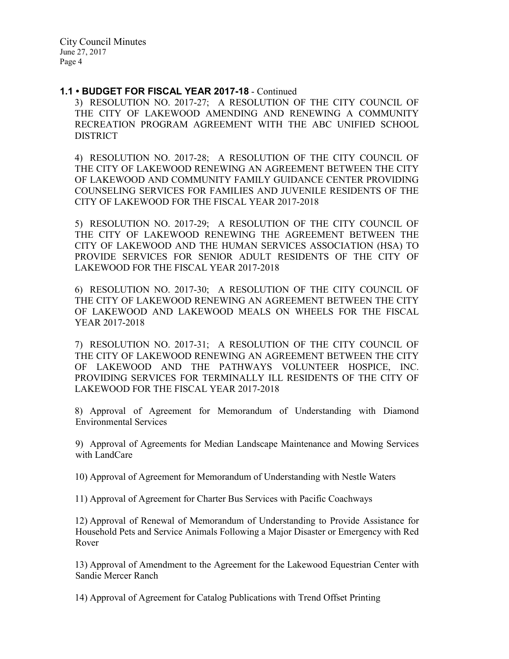### 1.1 • BUDGET FOR FISCAL YEAR 2017-18 - Continued

3) RESOLUTION NO. 2017-27; A RESOLUTION OF THE CITY COUNCIL OF THE CITY OF LAKEWOOD AMENDING AND RENEWING A COMMUNITY RECREATION PROGRAM AGREEMENT WITH THE ABC UNIFIED SCHOOL DISTRICT

4) RESOLUTION NO. 2017-28; A RESOLUTION OF THE CITY COUNCIL OF THE CITY OF LAKEWOOD RENEWING AN AGREEMENT BETWEEN THE CITY OF LAKEWOOD AND COMMUNITY FAMILY GUIDANCE CENTER PROVIDING COUNSELING SERVICES FOR FAMILIES AND JUVENILE RESIDENTS OF THE CITY OF LAKEWOOD FOR THE FISCAL YEAR 2017-2018

5) RESOLUTION NO. 2017-29; A RESOLUTION OF THE CITY COUNCIL OF THE CITY OF LAKEWOOD RENEWING THE AGREEMENT BETWEEN THE CITY OF LAKEWOOD AND THE HUMAN SERVICES ASSOCIATION (HSA) TO PROVIDE SERVICES FOR SENIOR ADULT RESIDENTS OF THE CITY OF LAKEWOOD FOR THE FISCAL YEAR 2017-2018

6) RESOLUTION NO. 2017-30; A RESOLUTION OF THE CITY COUNCIL OF THE CITY OF LAKEWOOD RENEWING AN AGREEMENT BETWEEN THE CITY OF LAKEWOOD AND LAKEWOOD MEALS ON WHEELS FOR THE FISCAL YEAR 2017-2018

7) RESOLUTION NO. 2017-31; A RESOLUTION OF THE CITY COUNCIL OF THE CITY OF LAKEWOOD RENEWING AN AGREEMENT BETWEEN THE CITY OF LAKEWOOD AND THE PATHWAYS VOLUNTEER HOSPICE, INC. PROVIDING SERVICES FOR TERMINALLY ILL RESIDENTS OF THE CITY OF LAKEWOOD FOR THE FISCAL YEAR 2017-2018

8) Approval of Agreement for Memorandum of Understanding with Diamond Environmental Services

9) Approval of Agreements for Median Landscape Maintenance and Mowing Services with LandCare

10) Approval of Agreement for Memorandum of Understanding with Nestle Waters

11) Approval of Agreement for Charter Bus Services with Pacific Coachways

12) Approval of Renewal of Memorandum of Understanding to Provide Assistance for Household Pets and Service Animals Following a Major Disaster or Emergency with Red Rover

13) Approval of Amendment to the Agreement for the Lakewood Equestrian Center with Sandie Mercer Ranch

14) Approval of Agreement for Catalog Publications with Trend Offset Printing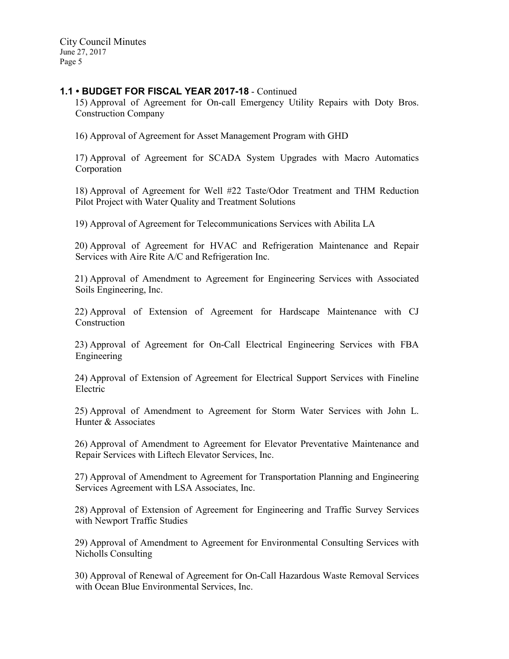## 1.1 • BUDGET FOR FISCAL YEAR 2017-18 - Continued

15) Approval of Agreement for On-call Emergency Utility Repairs with Doty Bros. Construction Company

16) Approval of Agreement for Asset Management Program with GHD

17) Approval of Agreement for SCADA System Upgrades with Macro Automatics Corporation

18) Approval of Agreement for Well #22 Taste/Odor Treatment and THM Reduction Pilot Project with Water Quality and Treatment Solutions

19) Approval of Agreement for Telecommunications Services with Abilita LA

20) Approval of Agreement for HVAC and Refrigeration Maintenance and Repair Services with Aire Rite A/C and Refrigeration Inc.

21) Approval of Amendment to Agreement for Engineering Services with Associated Soils Engineering, Inc.

22) Approval of Extension of Agreement for Hardscape Maintenance with CJ Construction

23) Approval of Agreement for On-Call Electrical Engineering Services with FBA Engineering

24) Approval of Extension of Agreement for Electrical Support Services with Fineline Electric

25) Approval of Amendment to Agreement for Storm Water Services with John L. Hunter & Associates

26) Approval of Amendment to Agreement for Elevator Preventative Maintenance and Repair Services with Liftech Elevator Services, Inc.

27) Approval of Amendment to Agreement for Transportation Planning and Engineering Services Agreement with LSA Associates, Inc.

28) Approval of Extension of Agreement for Engineering and Traffic Survey Services with Newport Traffic Studies

29) Approval of Amendment to Agreement for Environmental Consulting Services with Nicholls Consulting

30) Approval of Renewal of Agreement for On-Call Hazardous Waste Removal Services with Ocean Blue Environmental Services, Inc.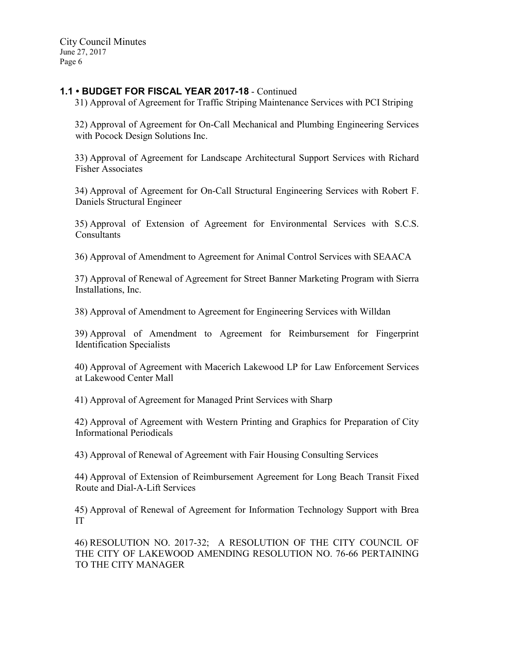# 1.1 • BUDGET FOR FISCAL YEAR 2017-18 - Continued

31) Approval of Agreement for Traffic Striping Maintenance Services with PCI Striping

32) Approval of Agreement for On-Call Mechanical and Plumbing Engineering Services with Pocock Design Solutions Inc.

33) Approval of Agreement for Landscape Architectural Support Services with Richard Fisher Associates

34) Approval of Agreement for On-Call Structural Engineering Services with Robert F. Daniels Structural Engineer

35) Approval of Extension of Agreement for Environmental Services with S.C.S. **Consultants** 

36) Approval of Amendment to Agreement for Animal Control Services with SEAACA

37) Approval of Renewal of Agreement for Street Banner Marketing Program with Sierra Installations, Inc.

38) Approval of Amendment to Agreement for Engineering Services with Willdan

39) Approval of Amendment to Agreement for Reimbursement for Fingerprint Identification Specialists

40) Approval of Agreement with Macerich Lakewood LP for Law Enforcement Services at Lakewood Center Mall

41) Approval of Agreement for Managed Print Services with Sharp

42) Approval of Agreement with Western Printing and Graphics for Preparation of City Informational Periodicals

43) Approval of Renewal of Agreement with Fair Housing Consulting Services

44) Approval of Extension of Reimbursement Agreement for Long Beach Transit Fixed Route and Dial-A-Lift Services

45) Approval of Renewal of Agreement for Information Technology Support with Brea IT

46) RESOLUTION NO. 2017-32; A RESOLUTION OF THE CITY COUNCIL OF THE CITY OF LAKEWOOD AMENDING RESOLUTION NO. 76-66 PERTAINING TO THE CITY MANAGER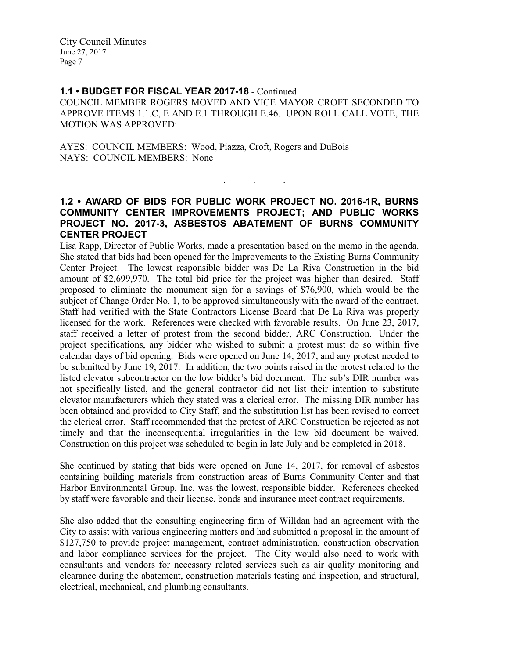### 1.1 • BUDGET FOR FISCAL YEAR 2017-18 - Continued

COUNCIL MEMBER ROGERS MOVED AND VICE MAYOR CROFT SECONDED TO APPROVE ITEMS 1.1.C, E AND E.1 THROUGH E.46. UPON ROLL CALL VOTE, THE MOTION WAS APPROVED:

AYES: COUNCIL MEMBERS: Wood, Piazza, Croft, Rogers and DuBois NAYS: COUNCIL MEMBERS: None

# 1.2 • AWARD OF BIDS FOR PUBLIC WORK PROJECT NO. 2016-1R, BURNS COMMUNITY CENTER IMPROVEMENTS PROJECT; AND PUBLIC WORKS PROJECT NO. 2017-3, ASBESTOS ABATEMENT OF BURNS COMMUNITY CENTER PROJECT

. . .

Lisa Rapp, Director of Public Works, made a presentation based on the memo in the agenda. She stated that bids had been opened for the Improvements to the Existing Burns Community Center Project. The lowest responsible bidder was De La Riva Construction in the bid amount of \$2,699,970. The total bid price for the project was higher than desired. Staff proposed to eliminate the monument sign for a savings of \$76,900, which would be the subject of Change Order No. 1, to be approved simultaneously with the award of the contract. Staff had verified with the State Contractors License Board that De La Riva was properly licensed for the work. References were checked with favorable results. On June 23, 2017, staff received a letter of protest from the second bidder, ARC Construction. Under the project specifications, any bidder who wished to submit a protest must do so within five calendar days of bid opening. Bids were opened on June 14, 2017, and any protest needed to be submitted by June 19, 2017. In addition, the two points raised in the protest related to the listed elevator subcontractor on the low bidder's bid document. The sub's DIR number was not specifically listed, and the general contractor did not list their intention to substitute elevator manufacturers which they stated was a clerical error. The missing DIR number has been obtained and provided to City Staff, and the substitution list has been revised to correct the clerical error. Staff recommended that the protest of ARC Construction be rejected as not timely and that the inconsequential irregularities in the low bid document be waived. Construction on this project was scheduled to begin in late July and be completed in 2018.

She continued by stating that bids were opened on June 14, 2017, for removal of asbestos containing building materials from construction areas of Burns Community Center and that Harbor Environmental Group, Inc. was the lowest, responsible bidder. References checked by staff were favorable and their license, bonds and insurance meet contract requirements.

She also added that the consulting engineering firm of Willdan had an agreement with the City to assist with various engineering matters and had submitted a proposal in the amount of \$127,750 to provide project management, contract administration, construction observation and labor compliance services for the project. The City would also need to work with consultants and vendors for necessary related services such as air quality monitoring and clearance during the abatement, construction materials testing and inspection, and structural, electrical, mechanical, and plumbing consultants.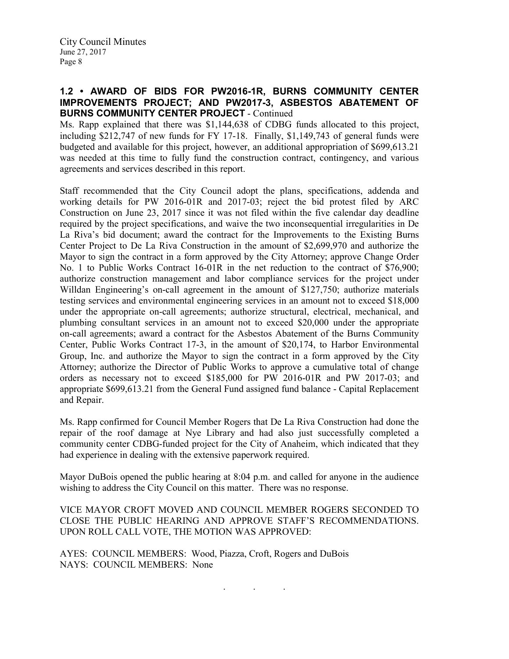## 1.2 • AWARD OF BIDS FOR PW2016-1R, BURNS COMMUNITY CENTER IMPROVEMENTS PROJECT; AND PW2017-3, ASBESTOS ABATEMENT OF BURNS COMMUNITY CENTER PROJECT - Continued

Ms. Rapp explained that there was \$1,144,638 of CDBG funds allocated to this project, including \$212,747 of new funds for FY 17-18. Finally, \$1,149,743 of general funds were budgeted and available for this project, however, an additional appropriation of \$699,613.21 was needed at this time to fully fund the construction contract, contingency, and various agreements and services described in this report.

Staff recommended that the City Council adopt the plans, specifications, addenda and working details for PW 2016-01R and 2017-03; reject the bid protest filed by ARC Construction on June 23, 2017 since it was not filed within the five calendar day deadline required by the project specifications, and waive the two inconsequential irregularities in De La Riva's bid document; award the contract for the Improvements to the Existing Burns Center Project to De La Riva Construction in the amount of \$2,699,970 and authorize the Mayor to sign the contract in a form approved by the City Attorney; approve Change Order No. 1 to Public Works Contract 16-01R in the net reduction to the contract of \$76,900; authorize construction management and labor compliance services for the project under Willdan Engineering's on-call agreement in the amount of \$127,750; authorize materials testing services and environmental engineering services in an amount not to exceed \$18,000 under the appropriate on-call agreements; authorize structural, electrical, mechanical, and plumbing consultant services in an amount not to exceed \$20,000 under the appropriate on-call agreements; award a contract for the Asbestos Abatement of the Burns Community Center, Public Works Contract 17-3, in the amount of \$20,174, to Harbor Environmental Group, Inc. and authorize the Mayor to sign the contract in a form approved by the City Attorney; authorize the Director of Public Works to approve a cumulative total of change orders as necessary not to exceed \$185,000 for PW 2016-01R and PW 2017-03; and appropriate \$699,613.21 from the General Fund assigned fund balance - Capital Replacement and Repair.

Ms. Rapp confirmed for Council Member Rogers that De La Riva Construction had done the repair of the roof damage at Nye Library and had also just successfully completed a community center CDBG-funded project for the City of Anaheim, which indicated that they had experience in dealing with the extensive paperwork required.

Mayor DuBois opened the public hearing at 8:04 p.m. and called for anyone in the audience wishing to address the City Council on this matter. There was no response.

VICE MAYOR CROFT MOVED AND COUNCIL MEMBER ROGERS SECONDED TO CLOSE THE PUBLIC HEARING AND APPROVE STAFF'S RECOMMENDATIONS. UPON ROLL CALL VOTE, THE MOTION WAS APPROVED:

. . .

AYES: COUNCIL MEMBERS: Wood, Piazza, Croft, Rogers and DuBois NAYS: COUNCIL MEMBERS: None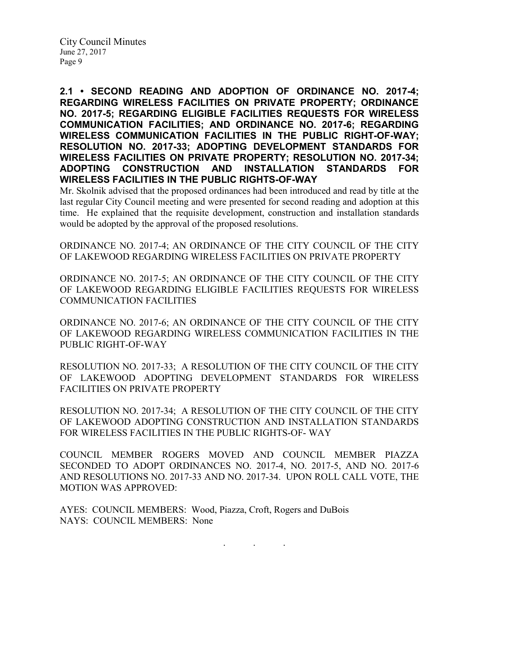2.1 • SECOND READING AND ADOPTION OF ORDINANCE NO. 2017-4; REGARDING WIRELESS FACILITIES ON PRIVATE PROPERTY; ORDINANCE NO. 2017-5; REGARDING ELIGIBLE FACILITIES REQUESTS FOR WIRELESS COMMUNICATION FACILITIES; AND ORDINANCE NO. 2017-6; REGARDING WIRELESS COMMUNICATION FACILITIES IN THE PUBLIC RIGHT-OF-WAY; RESOLUTION NO. 2017-33; ADOPTING DEVELOPMENT STANDARDS FOR WIRELESS FACILITIES ON PRIVATE PROPERTY; RESOLUTION NO. 2017-34; ADOPTING CONSTRUCTION AND INSTALLATION STANDARDS FOR WIRELESS FACILITIES IN THE PUBLIC RIGHTS-OF-WAY

Mr. Skolnik advised that the proposed ordinances had been introduced and read by title at the last regular City Council meeting and were presented for second reading and adoption at this time. He explained that the requisite development, construction and installation standards would be adopted by the approval of the proposed resolutions.

ORDINANCE NO. 2017-4; AN ORDINANCE OF THE CITY COUNCIL OF THE CITY OF LAKEWOOD REGARDING WIRELESS FACILITIES ON PRIVATE PROPERTY

ORDINANCE NO. 2017-5; AN ORDINANCE OF THE CITY COUNCIL OF THE CITY OF LAKEWOOD REGARDING ELIGIBLE FACILITIES REQUESTS FOR WIRELESS COMMUNICATION FACILITIES

ORDINANCE NO. 2017-6; AN ORDINANCE OF THE CITY COUNCIL OF THE CITY OF LAKEWOOD REGARDING WIRELESS COMMUNICATION FACILITIES IN THE PUBLIC RIGHT-OF-WAY

RESOLUTION NO. 2017-33; A RESOLUTION OF THE CITY COUNCIL OF THE CITY OF LAKEWOOD ADOPTING DEVELOPMENT STANDARDS FOR WIRELESS FACILITIES ON PRIVATE PROPERTY

RESOLUTION NO. 2017-34; A RESOLUTION OF THE CITY COUNCIL OF THE CITY OF LAKEWOOD ADOPTING CONSTRUCTION AND INSTALLATION STANDARDS FOR WIRELESS FACILITIES IN THE PUBLIC RIGHTS-OF- WAY

COUNCIL MEMBER ROGERS MOVED AND COUNCIL MEMBER PIAZZA SECONDED TO ADOPT ORDINANCES NO. 2017-4, NO. 2017-5, AND NO. 2017-6 AND RESOLUTIONS NO. 2017-33 AND NO. 2017-34. UPON ROLL CALL VOTE, THE MOTION WAS APPROVED:

AYES: COUNCIL MEMBERS: Wood, Piazza, Croft, Rogers and DuBois NAYS: COUNCIL MEMBERS: None

. . .